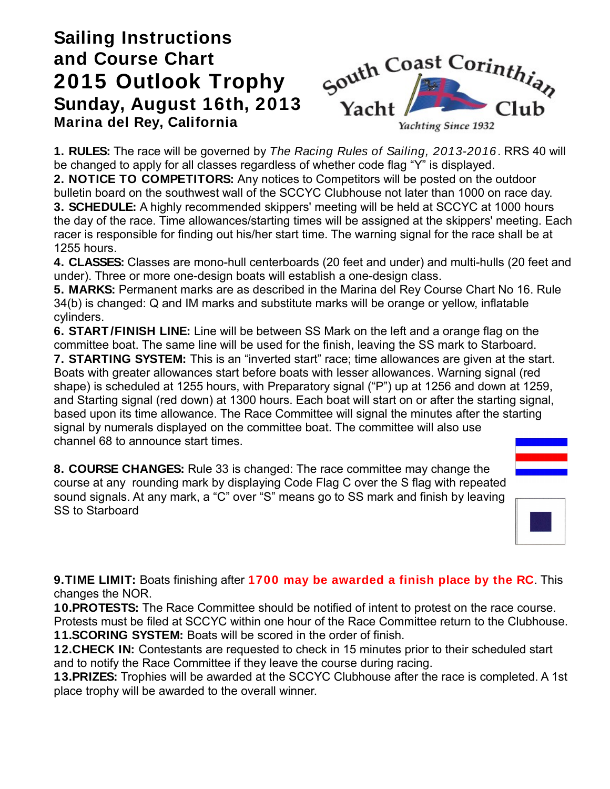## **Sailing Instructions and Course Chart 2015 Outlook Trophy Sunday, August 16th, 2013 Marina del Rey, California**



**1. RULES:** The race will be governed by The Racing Rules of Sailing, 2013-2016. RRS 40 will be changed to apply for all classes regardless of whether code flag "Y" is displayed. **2. NOTICE TO COMPETITORS:** Any notices to Competitors will be posted on the outdoor bulletin board on the southwest wall of the SCCYC Clubhouse not later than 1000 on race day. **3. SCHEDULE:** A highly recommended skippers' meeting will be held at SCCYC at 1000 hours the day of the race. Time allowances/starting times will be assigned at the skippers' meeting. Each racer is responsible for finding out his/her start time. The warning signal for the race shall be at 1255 hours.

**4. CLASSES:** Classes are mono-hull centerboards (20 feet and under) and multi-hulls (20 feet and under). Three or more one-design boats will establish a one-design class.

**5. MARKS:** Permanent marks are as described in the Marina del Rey Course Chart No 16. Rule 34(b) is changed: Q and IM marks and substitute marks will be orange or yellow, inflatable cylinders.

**6. START /FINISH LINE:** Line will be between SS Mark on the left and a orange flag on the committee boat. The same line will be used for the finish, leaving the SS mark to Starboard. **7. STARTING SYSTEM:** This is an "inverted start" race; time allowances are given at the start. Boats with greater allowances start before boats with lesser allowances. Warning signal (red shape) is scheduled at 1255 hours, with Preparatory signal ("P") up at 1256 and down at 1259, and Starting signal (red down) at 1300 hours. Each boat will start on or after the starting signal, based upon its time allowance. The Race Committee will signal the minutes after the starting signal by numerals displayed on the committee boat. The committee will also use channel 68 to announce start times.

**8. COURSE CHANGES:** Rule 33 is changed: The race committee may change the course at any rounding mark by displaying Code Flag C over the S flag with repeated sound signals. At any mark, a "C" over "S" means go to SS mark and finish by leaving SS to Starboard



**9.TIME LIMIT:** Boats finishing after **1700 may be awarded a finish place by the RC**. This changes the NOR.

**10.PROTESTS:** The Race Committee should be notified of intent to protest on the race course.

Protests must be filed at SCCYC within one hour of the Race Committee return to the Clubhouse. **11.SCORING SYSTEM:** Boats will be scored in the order of finish.

**12.CHECK IN:** Contestants are requested to check in 15 minutes prior to their scheduled start and to notify the Race Committee if they leave the course during racing.

**13.PRIZES:** Trophies will be awarded at the SCCYC Clubhouse after the race is completed. A 1st place trophy will be awarded to the overall winner.